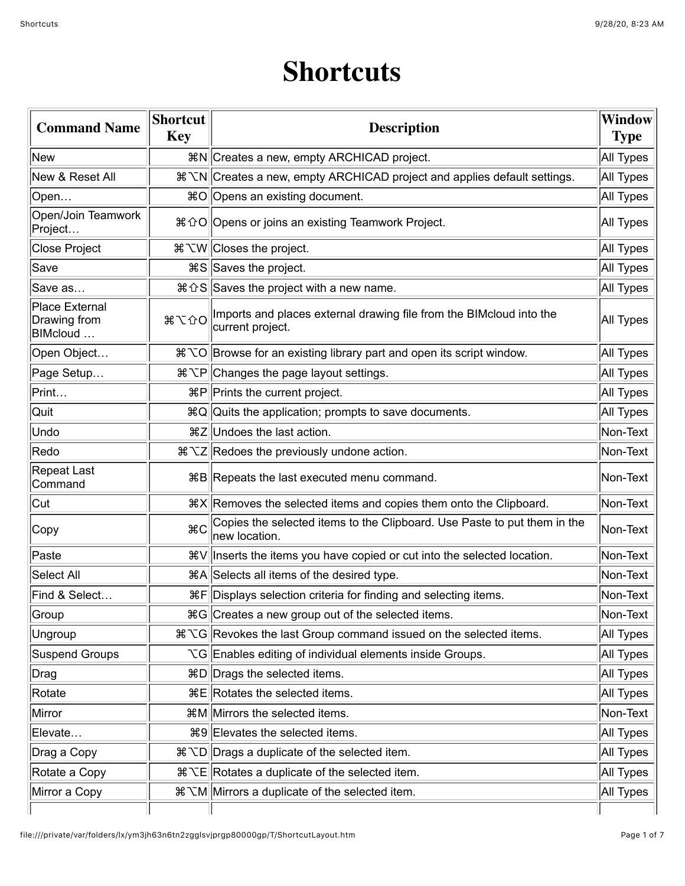## **Shortcuts**

| <b>Command Name</b>                               | <b>Shortcut</b><br><b>Key</b> | <b>Description</b>                                                                                   |           |
|---------------------------------------------------|-------------------------------|------------------------------------------------------------------------------------------------------|-----------|
| New                                               |                               | <sub>ま</sub> N  Creates a new, empty ARCHICAD project.                                               | All Types |
| New & Reset All                                   |                               | # ∠N Creates a new, empty ARCHICAD project and applies default settings.                             | All Types |
| Open                                              |                               | 0 HO Opens an existing document.                                                                     | All Types |
| Open/Join Teamwork<br>Project                     |                               | 0 % 36 Globens or joins an existing Teamwork Project.                                                | All Types |
| <b>Close Project</b>                              |                               | # ∠W Closes the project.                                                                             | All Types |
| Save                                              |                               | <b>\\$S</b> Saves the project.                                                                       | All Types |
| Save as                                           |                               | $\frac{1}{2}$ $\frac{1}{2}$ Saves the project with a new name.                                       | All Types |
| <b>Place External</b><br>Drawing from<br>BIMcloud | 8700                          | Imports and places external drawing file from the BIMcloud into the<br>current project.              | All Types |
| Open Object                                       |                               | # ℃O Browse for an existing library part and open its script window.                                 | All Types |
| Page Setup                                        |                               | ೫ NP Changes the page layout settings.                                                               | All Types |
| Print                                             |                               | $\mathbb{R}P$ Prints the current project.                                                            | All Types |
| Quit                                              |                               | #Q Quits the application; prompts to save documents.                                                 | All Types |
| Undo                                              |                               | <sub>ま</sub> z  Undoes the last action.                                                              | Non-Text  |
| Redo                                              |                               | \$ ∑Z Redoes the previously undone action.                                                           | Non-Text  |
| <b>Repeat Last</b><br>Command                     |                               | 器B Repeats the last executed menu command.                                                           | Non-Text  |
| Cut                                               |                               | $X$ <b>Removes the selected items and copies them onto the Clipboard.</b>                            | Non-Text  |
| Copy                                              | ЖC                            | Copies the selected items to the Clipboard. Use Paste to put them in the<br>new location.            | Non-Text  |
| Paste                                             |                               | <sup>3</sup> <sup>3</sup> ₹ V   Inserts the items you have copied or cut into the selected location. | Non-Text  |
| Select All                                        |                               | 38A Selects all items of the desired type.                                                           | Non-Text  |
| Find & Select                                     |                               | 용F Displays selection criteria for finding and selecting items.                                      | Non-Text  |
| Group                                             |                               | $\ \mathcal{B}\ $ Creates a new group out of the selected items.                                     | Non-Text  |
| Ungroup                                           |                               | # ℃G Revokes the last Group command issued on the selected items.                                    | All Types |
| <b>Suspend Groups</b>                             |                               | $\chi$ G Enables editing of individual elements inside Groups.                                       | All Types |
| Drag                                              |                               | $\&D$ Drags the selected items.                                                                      | All Types |
| Rotate                                            |                               | $\mathbb{R}E$ Rotates the selected items.                                                            |           |
| Mirror                                            |                               | <b>\mathbf{x}</b> Milles Milles Selected items.                                                      |           |
| Elevate                                           |                               | 0 0 Hevates the selected items.                                                                      |           |
| Drag a Copy                                       |                               |                                                                                                      |           |
| Rotate a Copy                                     |                               | $\mathcal{H} \times$ Rotates a duplicate of the selected item.                                       |           |
| Mirror a Copy                                     |                               | # ∠M Mirrors a duplicate of the selected item.                                                       |           |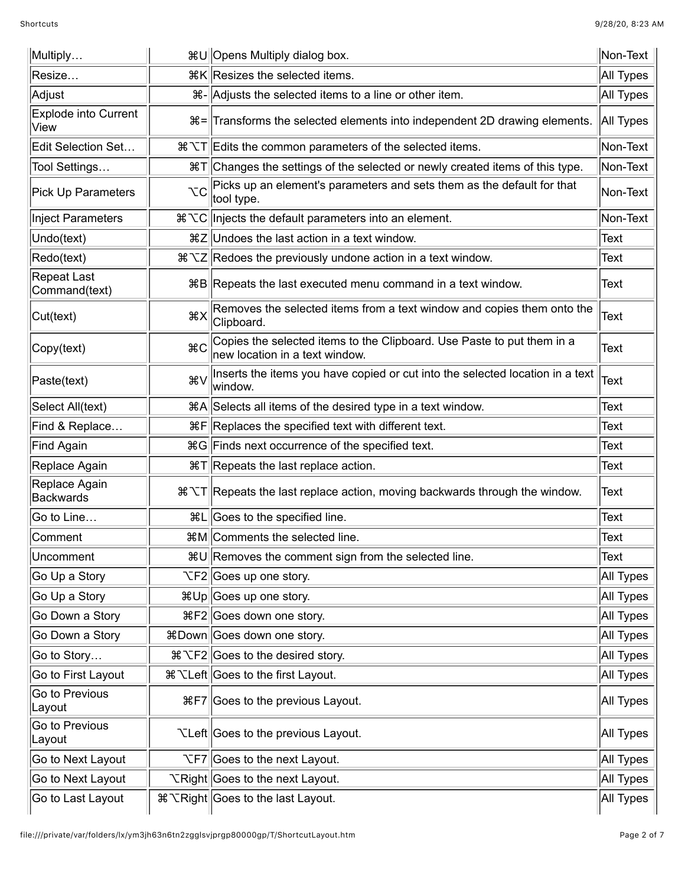| Multiply                     |              | Non-Text<br><sub>ま∪</sub> Opens Multiply dialog box.                                                     |             |
|------------------------------|--------------|----------------------------------------------------------------------------------------------------------|-------------|
| Resize                       |              | <sub>まK</sub>   Resizes the selected items.                                                              |             |
| Adjust                       |              | ೫- Adjusts the selected items to a line or other item.                                                   |             |
| Explode into Current<br>View |              | <sub>3</sub> % <sup>a</sup> all Transforms the selected elements into independent 2D drawing elements.   | All Types   |
| Edit Selection Set           |              | # ∠T Edits the common parameters of the selected items.                                                  | Non-Text    |
| Tool Settings                |              | #T Changes the settings of the selected or newly created items of this type.                             | Non-Text    |
| Pick Up Parameters           | УC           | Picks up an element's parameters and sets them as the default for that<br>tool type.                     | Non-Text    |
| Inject Parameters            |              |                                                                                                          | Non-Text    |
| Undo(text)                   |              | 第Z Undoes the last action in a text window.                                                              | Text        |
| Redo(text)                   |              | # ∠Z Redoes the previously undone action in a text window.                                               | Text        |
| Repeat Last<br>Command(text) |              | 第B Repeats the last executed menu command in a text window.                                              | Text        |
| Cut(text)                    | $*X$         | Removes the selected items from a text window and copies them onto the<br>Clipboard.                     | <b>Text</b> |
| Copy(text)                   | $_{\rm \#C}$ | Copies the selected items to the Clipboard. Use Paste to put them in a<br>new location in a text window. | Text        |
| Paste(text)                  | ิ ¥∨         | Inserts the items you have copied or cut into the selected location in a text<br>window.                 | Text        |
| Select All(text)             |              | 38A Selects all items of the desired type in a text window.                                              | <b>Text</b> |
| Find & Replace               |              | 용F Replaces the specified text with different text.                                                      |             |
| Find Again                   |              | ¥G Finds next occurrence of the specified text.                                                          |             |
| Replace Again                |              | ೫T Repeats the last replace action.                                                                      | Text        |
| Replace Again<br>Backwards   |              | # ∠T Repeats the last replace action, moving backwards through the window.                               |             |
| Go to Line                   |              | <sub>ま</sub> L Goes to the specified line.                                                               | <b>Text</b> |
| Comment                      |              | <b>\mathbf{x}</b> M  Comments the selected line.                                                         | <b>Text</b> |
| Uncomment                    |              | #∪ Removes the comment sign from the selected line.                                                      | Text        |
| Go Up a Story                |              |                                                                                                          | All Types   |
| Go Up a Story                |              | 器Up Goes up one story.                                                                                   | All Types   |
| Go Down a Story              |              | <b>\SecogetSile</b> Goes down one story.                                                                 |             |
| Go Down a Story              |              | ¥Bown Goes down one story.                                                                               |             |
| Go to Story                  |              | ೫ NF2 Goes to the desired story.                                                                         |             |
| Go to First Layout           |              | ೫ Numerod K Layout.                                                                                      |             |
| Go to Previous<br>Layout     |              | <b>\</b> HF7 Goes to the previous Layout.                                                                |             |
| Go to Previous<br>∣Layout    |              | TLeft Goes to the previous Layout.                                                                       |             |
| Go to Next Layout            |              | $\Gamma$ $\Gamma$ $\sim$ F7 $\sim$ 60 $\mu$ Goes to the next Layout.                                     | All Types   |
| Go to Next Layout            |              | <b>National</b> Coes to the next Layout.                                                                 |             |
| Go to Last Layout            |              | <b>% XRight</b> Goes to the last Layout.                                                                 |             |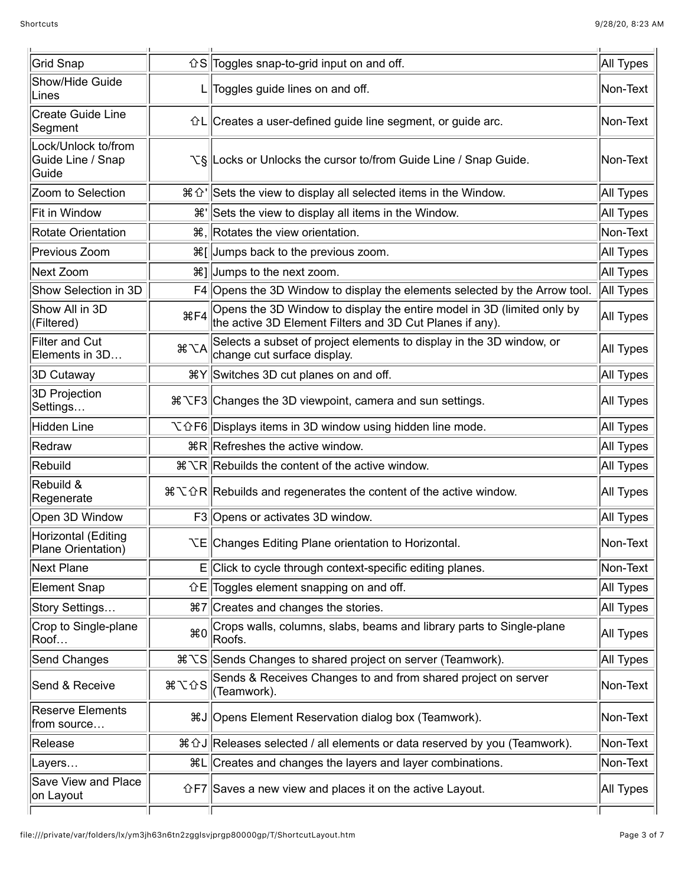| Grid Snap                                         |                             | $\hat{C}$ S Toggles snap-to-grid input on and off.                                                                                 |           |
|---------------------------------------------------|-----------------------------|------------------------------------------------------------------------------------------------------------------------------------|-----------|
| Show/Hide Guide<br>Lines                          |                             | L Toggles guide lines on and off.                                                                                                  |           |
| Create Guide Line<br>Segment                      |                             | $\left  \hat{C} L \right $ Creates a user-defined guide line segment, or guide arc.                                                |           |
| Lock/Unlock to/from<br>Guide Line / Snap<br>Guide |                             | V§ Locks or Unlocks the cursor to/from Guide Line / Snap Guide.                                                                    | Non-Text  |
| Zoom to Selection                                 |                             | $\mathcal{H} \hat{U}$ Sets the view to display all selected items in the Window.                                                   | All Types |
| Fit in Window                                     | ₩'                          | Sets the view to display all items in the Window.                                                                                  | All Types |
| Rotate Orientation                                |                             | <sub>3</sub> Rotates the view orientation.                                                                                         | Non-Text  |
| Previous Zoom                                     |                             | $\frac{1}{2}$ [ Jumps back to the previous zoom.                                                                                   | All Types |
| Next Zoom                                         |                             | <sub>8</sub> %] Jumps to the next zoom.                                                                                            | All Types |
| Show Selection in 3D                              |                             | F4 Opens the 3D Window to display the elements selected by the Arrow tool.                                                         | All Types |
| Show All in 3D<br>(Filtered)                      | <b></b> £F4                 | Opens the 3D Window to display the entire model in 3D (limited only by<br>the active 3D Element Filters and 3D Cut Planes if any). | All Types |
| Filter and Cut<br>Elements in 3D                  | $\frac{4}{5}$ $\frac{1}{5}$ | Selects a subset of project elements to display in the 3D window, or<br>change cut surface display.                                | All Types |
| 3D Cutaway                                        |                             |                                                                                                                                    | All Types |
| 3D Projection<br>Settings…                        |                             | # NF3 Changes the 3D viewpoint, camera and sun settings.                                                                           |           |
| Hidden Line                                       |                             | $\mathcal{L} \hat{D}$ F6 Displays items in 3D window using hidden line mode.                                                       |           |
| Redraw                                            |                             | $R$ Refreshes the active window.                                                                                                   |           |
| Rebuild                                           |                             | # ∠R Rebuilds the content of the active window.                                                                                    |           |
| Rebuild &<br>Regenerate                           |                             | # \ $\hat{C}$ R   Rebuilds and regenerates the content of the active window.                                                       |           |
| Open 3D Window                                    |                             | F3 Opens or activates 3D window.                                                                                                   | All Types |
| Horizontal (Editing<br>Plane Orientation)         |                             | <b>XE Changes Editing Plane orientation to Horizontal.</b>                                                                         | Non-Text  |
| Next Plane                                        |                             | E Click to cycle through context-specific editing planes.                                                                          | Non-Text  |
| Element Snap                                      |                             | $\hat{L}E$ Toggles element snapping on and off.                                                                                    | All Types |
| Story Settings                                    |                             | <sub>87</sub> Creates and changes the stories.                                                                                     | All Types |
| Crop to Single-plane<br>Roof                      | $*0$                        | Crops walls, columns, slabs, beams and library parts to Single-plane<br>Roofs.                                                     |           |
| Send Changes                                      |                             | # \ S Sends Changes to shared project on server (Teamwork).                                                                        |           |
| Send & Receive                                    | <b>第て☆S</b>                 | Sends & Receives Changes to and from shared project on server<br>(Teamwork).                                                       |           |
| Reserve Elements<br>from source                   |                             | #J Opens Element Reservation dialog box (Teamwork).                                                                                |           |
| Release                                           |                             | 36 o J Releases selected / all elements or data reserved by you (Teamwork).                                                        |           |
| ∣Layers…                                          |                             | ೫L Creates and changes the layers and layer combinations.                                                                          |           |
| <b>Save View and Place</b><br>on Layout           |                             | $\left  \hat{C}F7 \right $ Saves a new view and places it on the active Layout.                                                    |           |
|                                                   |                             |                                                                                                                                    |           |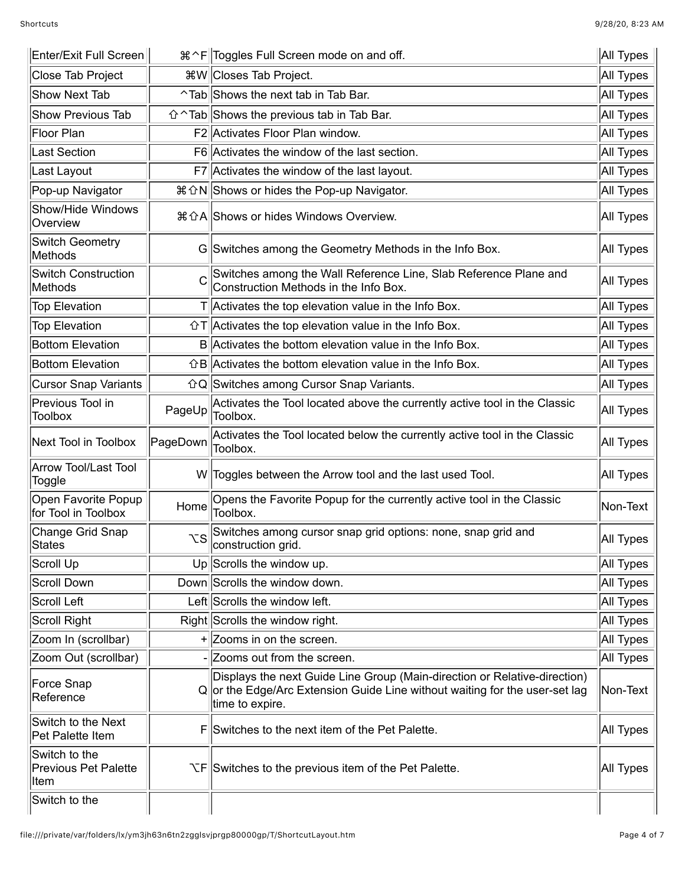| Enter/Exit Full Screen                                |           | All Types<br>೫ ^F Toggles Full Screen mode on and off.                                                                                                                      |                  |
|-------------------------------------------------------|-----------|-----------------------------------------------------------------------------------------------------------------------------------------------------------------------------|------------------|
| Close Tab Project                                     |           | <sub>8</sub> W   Closes Tab Project.                                                                                                                                        | All Types        |
| <b>Show Next Tab</b>                                  |           | ^Tab Shows the next tab in Tab Bar.                                                                                                                                         | All Types        |
| <b>Show Previous Tab</b>                              |           | $\hat{U} \cap \text{Tab}$ Shows the previous tab in Tab Bar.                                                                                                                | All Types        |
| Floor Plan                                            |           | F2 Activates Floor Plan window.                                                                                                                                             | All Types        |
| ast Section                                           |           | F6 Activates the window of the last section.                                                                                                                                | All Types        |
| Last Layout                                           |           | F7 Activates the window of the last layout.                                                                                                                                 | All Types        |
| Pop-up Navigator                                      |           | # ኅ N Shows or hides the Pop-up Navigator.                                                                                                                                  | All Types        |
| Show/Hide Windows<br>Overview                         |           | 36 GA Shows or hides Windows Overview.                                                                                                                                      | All Types        |
| <b>Switch Geometry</b><br>Methods                     |           | G Switches among the Geometry Methods in the Info Box.                                                                                                                      | All Types        |
| <b>Switch Construction</b><br>Methods                 | C         | Switches among the Wall Reference Line, Slab Reference Plane and<br>Construction Methods in the Info Box.                                                                   | All Types        |
| <b>Top Elevation</b>                                  |           | $T$  Activates the top elevation value in the Info Box.                                                                                                                     | All Types        |
| <b>Top Elevation</b>                                  |           | $\hat{U}$   Activates the top elevation value in the Info Box.                                                                                                              | All Types        |
| <b>Bottom Elevation</b>                               |           | B Activates the bottom elevation value in the Info Box.                                                                                                                     | All Types        |
| <b>Bottom Elevation</b>                               |           | $\hat{B}$ Activates the bottom elevation value in the Info Box.                                                                                                             | All Types        |
| <b>Cursor Snap Variants</b>                           |           | 企Q Switches among Cursor Snap Variants.                                                                                                                                     | All Types        |
| Previous Tool in<br><b>Toolbox</b>                    | PageUp    | Activates the Tool located above the currently active tool in the Classic<br>Toolbox.                                                                                       | All Types        |
| Next Tool in Toolbox                                  | PageDown  | Activates the Tool located below the currently active tool in the Classic<br>Toolbox.                                                                                       | <b>All Types</b> |
| Arrow Tool/Last Tool<br>Toggle                        |           | W  Toggles between the Arrow tool and the last used Tool.                                                                                                                   | All Types        |
| Open Favorite Popup<br>for Tool in Toolbox            | Home      | Opens the Favorite Popup for the currently active tool in the Classic<br>Toolbox.                                                                                           | Non-Text         |
| Change Grid Snap<br><b>States</b>                     | <b>VS</b> | Switches among cursor snap grid options: none, snap grid and<br>construction grid.                                                                                          | All Types        |
| Scroll Up                                             |           | Up Scrolls the window up.                                                                                                                                                   | All Types        |
| Scroll Down                                           |           | Down Scrolls the window down.                                                                                                                                               | All Types        |
| <b>Scroll Left</b>                                    |           | Left Scrolls the window left.                                                                                                                                               | All Types        |
| Scroll Right                                          |           | Right Scrolls the window right.                                                                                                                                             | All Types        |
| Zoom In (scrollbar)                                   |           | $+$ Zooms in on the screen.                                                                                                                                                 | All Types        |
| Zoom Out (scrollbar)                                  |           | Zooms out from the screen.                                                                                                                                                  | All Types        |
| Force Snap<br>Reference                               |           | Displays the next Guide Line Group (Main-direction or Relative-direction)<br>Q or the Edge/Arc Extension Guide Line without waiting for the user-set lag<br>time to expire. | Non-Text         |
| Switch to the Next<br>Pet Palette Item                | F         | Switches to the next item of the Pet Palette.                                                                                                                               | All Types        |
| Switch to the<br><b>Previous Pet Palette</b><br>∣ltem |           | $\sum$ $F$ Switches to the previous item of the Pet Palette.                                                                                                                |                  |
| Switch to the                                         |           |                                                                                                                                                                             |                  |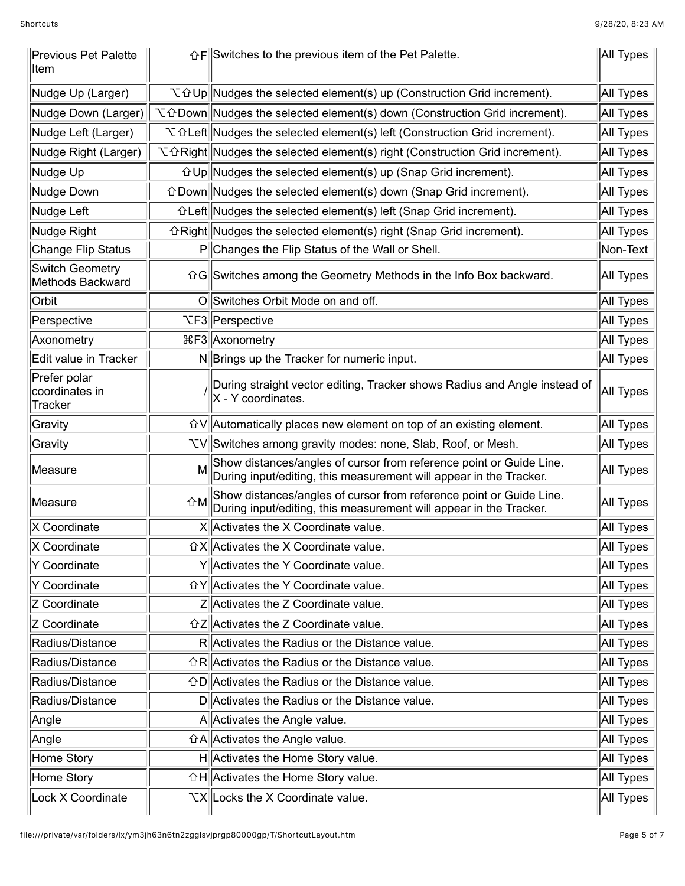| <b>Previous Pet Palette</b><br>Iltem      |    | $\hat{F}$ Switches to the previous item of the Pet Palette.                                                                               |           |  |
|-------------------------------------------|----|-------------------------------------------------------------------------------------------------------------------------------------------|-----------|--|
| Nudge Up (Larger)                         |    | $\mathcal{L} \oplus \mathsf{Up}$ Nudges the selected element(s) up (Construction Grid increment).<br>All Types                            |           |  |
| Nudge Down (Larger)                       |    | V û Down Nudges the selected element(s) down (Construction Grid increment).                                                               |           |  |
| Nudge Left (Larger)                       |    | $\mathcal{L}\hat{\theta}$ Left Nudges the selected element(s) left (Construction Grid increment).                                         |           |  |
| Nudge Right (Larger)                      |    | $\mathcal{L}\hat{\alpha}$ Right Nudges the selected element(s) right (Construction Grid increment).                                       | All Types |  |
| Nudge Up                                  |    | $\hat{U}$ Up Nudges the selected element(s) up (Snap Grid increment).                                                                     | All Types |  |
| Nudge Down                                |    | $\hat{C}$ Down Nudges the selected element(s) down (Snap Grid increment).                                                                 | All Types |  |
| Nudge Left                                |    | $\hat{U}$ Left Nudges the selected element(s) left (Snap Grid increment).                                                                 | All Types |  |
| Nudge Right                               |    | $\hat{C}$ Right Nudges the selected element(s) right (Snap Grid increment).                                                               | All Types |  |
| Change Flip Status                        |    | P Changes the Flip Status of the Wall or Shell.                                                                                           | Non-Text  |  |
| Switch Geometry<br>Methods Backward       |    | 企G Switches among the Geometry Methods in the Info Box backward.                                                                          | All Types |  |
| Orbit                                     |    | O Switches Orbit Mode on and off.                                                                                                         | All Types |  |
| Perspective                               |    | <b>TF3</b> Perspective                                                                                                                    | All Types |  |
| Axonometry                                |    | %F3 Axonometry                                                                                                                            | All Types |  |
| Edit value in Tracker                     |    | N Brings up the Tracker for numeric input.                                                                                                | All Types |  |
| Prefer polar<br>coordinates in<br>Tracker |    | During straight vector editing, Tracker shows Radius and Angle instead of<br>All Types<br>X - Y coordinates.                              |           |  |
| Gravity                                   |    | $\hat{U}$ Automatically places new element on top of an existing element.                                                                 |           |  |
| Gravity                                   |    | VV Switches among gravity modes: none, Slab, Roof, or Mesh.                                                                               |           |  |
| Measure                                   | M  | Show distances/angles of cursor from reference point or Guide Line.<br>During input/editing, this measurement will appear in the Tracker. |           |  |
| Measure                                   | 1M | Show distances/angles of cursor from reference point or Guide Line.<br>During input/editing, this measurement will appear in the Tracker. |           |  |
| X Coordinate                              |    | X Activates the X Coordinate value.                                                                                                       | All Types |  |
| X Coordinate                              |    | $\hat{u}$ $X$ Activates the X Coordinate value.                                                                                           | All Types |  |
| Y Coordinate                              |    | Y Activates the Y Coordinate value.                                                                                                       | All Types |  |
| Y Coordinate                              |    | GY Activates the Y Coordinate value.                                                                                                      | All Types |  |
| Z Coordinate                              |    | Z Activates the Z Coordinate value.                                                                                                       | All Types |  |
| Z Coordinate                              |    | $\hat{U}Z$ Activates the Z Coordinate value.                                                                                              | All Types |  |
| Radius/Distance                           |    | R Activates the Radius or the Distance value.                                                                                             | All Types |  |
| Radius/Distance                           |    | $\hat{C}R$ Activates the Radius or the Distance value.                                                                                    | All Types |  |
| Radius/Distance                           |    | $\hat{U}$ D Activates the Radius or the Distance value.                                                                                   | All Types |  |
| Radius/Distance                           |    | D Activates the Radius or the Distance value.                                                                                             |           |  |
| Angle                                     |    | A Activates the Angle value.                                                                                                              |           |  |
| Angle                                     |    | $\hat{U}$ A  Activates the Angle value.                                                                                                   |           |  |
| Home Story                                |    | H Activates the Home Story value.                                                                                                         | All Types |  |
| Home Story                                |    | <b>GH</b> Activates the Home Story value.<br>All Types                                                                                    |           |  |
| Lock X Coordinate                         |    | XX Locks the X Coordinate value.                                                                                                          |           |  |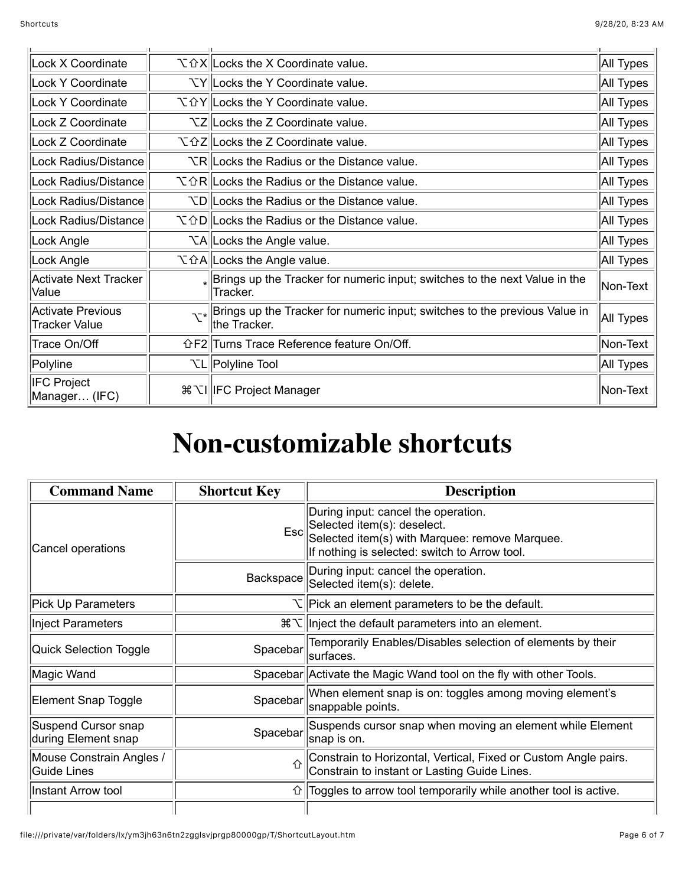| Lock X Coordinate                         |                 | V G X Locks the X Coordinate value.                                                                     |           |
|-------------------------------------------|-----------------|---------------------------------------------------------------------------------------------------------|-----------|
| Lock Y Coordinate                         |                 | <b>TY Locks the Y Coordinate value.</b>                                                                 |           |
| Lock Y Coordinate                         |                 | N T  d Y   Locks the Y Coordinate value.                                                                | All Types |
| Lock Z Coordinate                         |                 | <b>TZ</b> Locks the Z Coordinate value.                                                                 | All Types |
| Lock Z Coordinate                         |                 | N  û Z  Locks the Z Coordinate value.                                                                   | All Types |
| Lock Radius/Distance                      |                 | VR Locks the Radius or the Distance value.                                                              | All Types |
| Lock Radius/Distance                      |                 | $\mathcal{L} \hat{H}$ Locks the Radius or the Distance value.                                           | All Types |
| Lock Radius/Distance                      |                 | ND Locks the Radius or the Distance value.                                                              |           |
| Lock Radius/Distance                      |                 | $\mathcal{L} \hat{D}$   Locks the Radius or the Distance value.                                         |           |
| Lock Angle                                |                 | <b>NA</b> Locks the Angle value.                                                                        |           |
| Lock Angle                                |                 | V û A  Locks the Angle value.<br>All Types                                                              |           |
| Activate Next Tracker<br>Value            |                 | $_{*}$ Brings up the Tracker for numeric input; switches to the next Value in the<br>Tracker.           |           |
| Activate Previous<br><b>Tracker Value</b> | $\mathcal{N}^*$ | Brings up the Tracker for numeric input; switches to the previous Value in<br>All Types<br>the Tracker. |           |
| Trace On/Off                              |                 | <b>GF2</b> Turns Trace Reference feature On/Off.                                                        |           |
| Polyline                                  |                 | <b>TL</b>   Polyline Tool                                                                               |           |
| <b>IFC Project</b><br>Manager (IFC)       |                 | <sub>8</sub> XI  IFC Project Manager                                                                    |           |

## **Non-customizable shortcuts**

| <b>Command Name</b>                        | <b>Shortcut Key</b> | <b>Description</b>                                                                                                                                                            |
|--------------------------------------------|---------------------|-------------------------------------------------------------------------------------------------------------------------------------------------------------------------------|
| Cancel operations                          |                     | During input: cancel the operation.<br>Esc Selected item(s): deselect.<br>Esc Selected item(s) with Marquee: remove Marquee.<br>If nothing is selected: switch to Arrow tool. |
|                                            | Backspace           | During input: cancel the operation.<br>Selected item(s): delete.                                                                                                              |
| <b>Pick Up Parameters</b>                  |                     | $\nabla$  Pick an element parameters to be the default.                                                                                                                       |
| Inject Parameters                          |                     | $\mathcal{H}\setminus\mathcal{H}$ inject the default parameters into an element.                                                                                              |
| Quick Selection Toggle                     | Spacebar            | Temporarily Enables/Disables selection of elements by their<br>surfaces.                                                                                                      |
| Magic Wand                                 |                     | Spacebar Activate the Magic Wand tool on the fly with other Tools.                                                                                                            |
| Element Snap Toggle                        | Spacebar            | When element snap is on: toggles among moving element's<br>snappable points.                                                                                                  |
| Suspend Cursor snap<br>during Element snap | Spacebar            | Suspends cursor snap when moving an element while Element<br>snap is on.                                                                                                      |
| Mouse Constrain Angles /<br>Guide Lines    | 介                   | Constrain to Horizontal, Vertical, Fixed or Custom Angle pairs.<br>Constrain to instant or Lasting Guide Lines.                                                               |
| Instant Arrow tool                         | ⇧                   | Toggles to arrow tool temporarily while another tool is active.                                                                                                               |
|                                            |                     |                                                                                                                                                                               |